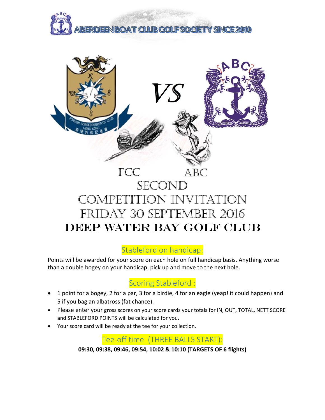



# COMPETITION INVITATION FRIDAY 30 SEPTEMBER 2016 DEEP WATER BAY GOLF CLUB

# Stableford on handicap:

Points will be awarded for your score on each hole on full handicap basis. Anything worse than a double bogey on your handicap, pick up and move to the next hole.

#### Scoring Stableford :

- 1 point for a bogey, 2 for a par, 3 for a birdie, 4 for an eagle (yeap! it could happen) and 5 if you bag an albatross (fat chance).
- Please enter your gross scores on your score cards your totals for IN, OUT, TOTAL, NETT SCORE and STABLEFORD POINTS will be calculated for you.
- Your score card will be ready at the tee for your collection.

Tee‐off time (THREE BALLS START):

**09:30, 09:38, 09:46, 09:54, 10:02 & 10:10 (TARGETS OF 6 flights)**